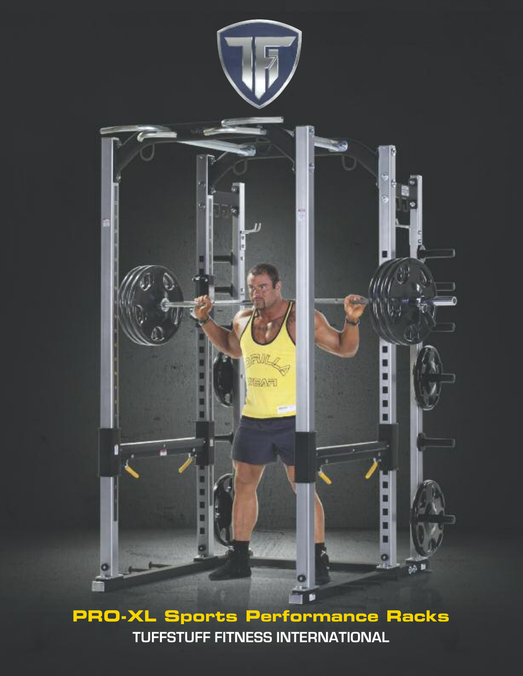

**PRO-XL Sports Performance Racks TUFFSTUFF FITNESS INTERNATIONAL**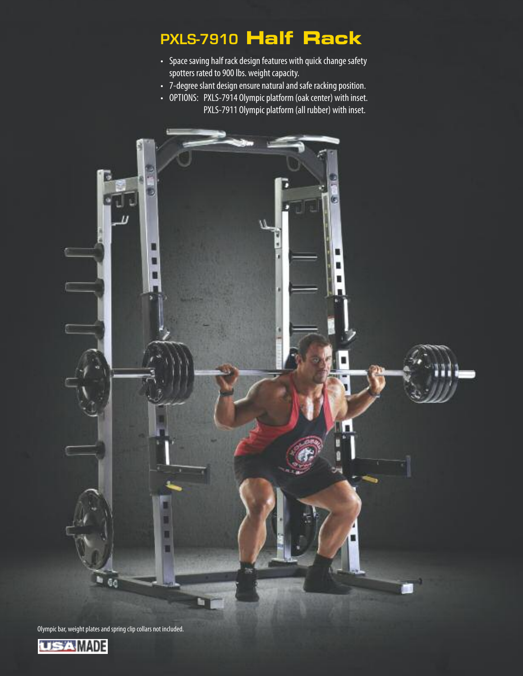# **PXLS-7910 Half Rack**

- Space saving half rack design features with quick change safety spotters rated to 900 lbs. weight capacity.
- 7-degree slant design ensure natural and safe racking position.
- OPTIONS: PXLS-7914 Olympic platform (oak center) with inset. PXLS-7911 Olympic platform (all rubber) with inset.

в Gd

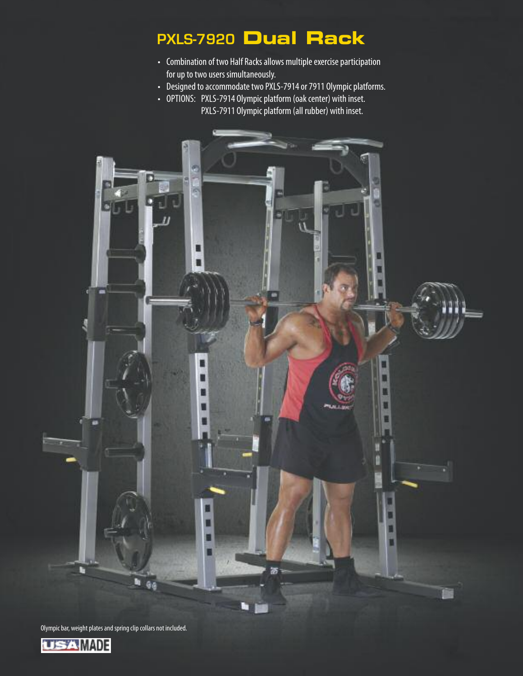## **PXLS-7920 Dual Rack**

- Combination of two Half Racks allows multiple exercise participation for up to two users simultaneously.
- Designed to accommodate two PXLS-7914 or 7911 Olympic platforms.
- OPTIONS: PXLS-7914 Olympic platform (oak center) with inset. PXLS-7911 Olympic platform (all rubber) with inset.



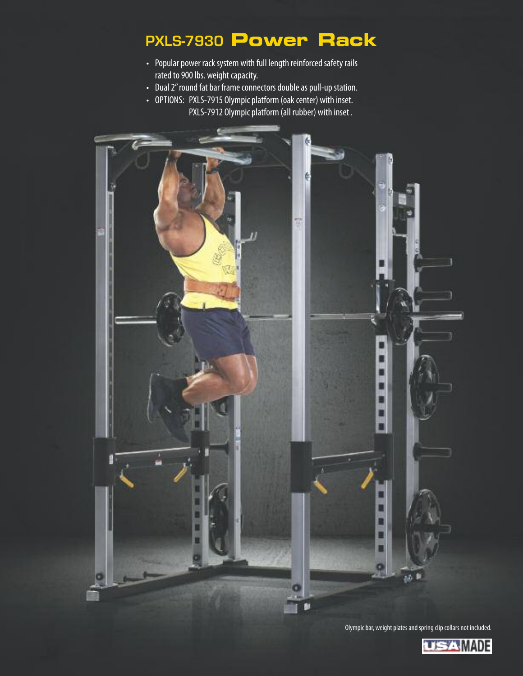### **PXLS-7930 Power Rack**

- Popular power rack system with full length reinforced safety rails rated to 900 lbs. weight capacity.
- Dual 2" round fat bar frame connectors double as pull-up station.
- OPTIONS: PXLS-7915 Olympic platform (oak center) with inset. PXLS-7912 Olympic platform (all rubber) with inset .



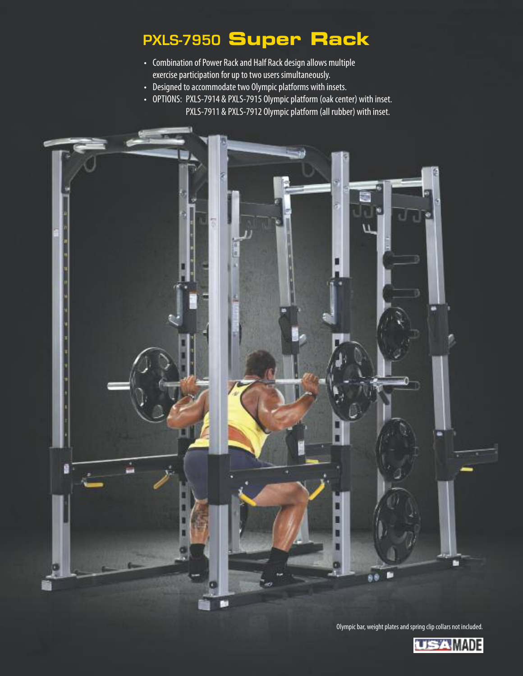## **PXLS-7950 Super Rack**

- Combination of Power Rack and Half Rack design allows multiple exercise participation for up to two users simultaneously.
- Designed to accommodate two Olympic platforms with insets.
- OPTIONS: PXLS-7914 & PXLS-7915 Olympic platform (oak center) with inset. PXLS-7911 & PXLS-7912 Olympic platform (all rubber) with inset.



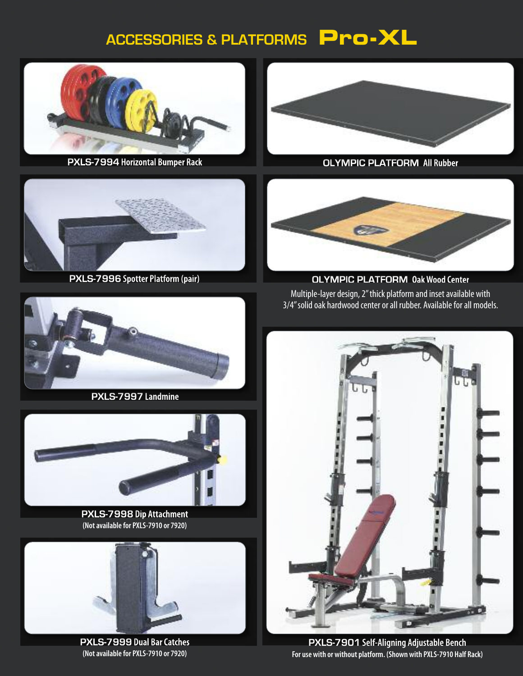# **ACCESSORIES & PLATFORMS Pro-XL**



**PXLS-7994 Horizontal Bumper Rack**



**PXLS-7996 Spotter Platform(pair)**



**OLYMPIC PLATFORM All Rubber**



**OLYMPIC PLATFORM OakWood Center** Multiple-layer design, 2" thick platform and inset available with 3/4" solid oak hardwood center or all rubber. Available for all models.



**PXLS-7997 Landmine**



**PXLS-7998 Dip Attachment (Notavailablefor PXLS-7910 or 7920)**



**PXLS-7999 Dual BarCatches (Notavailablefor PXLS-7910 or 7920)**



**PXLS-7901 Self-Aligning Adjustable Bench For use with or without platform. (Shown with PXLS-7910 Half Rack)**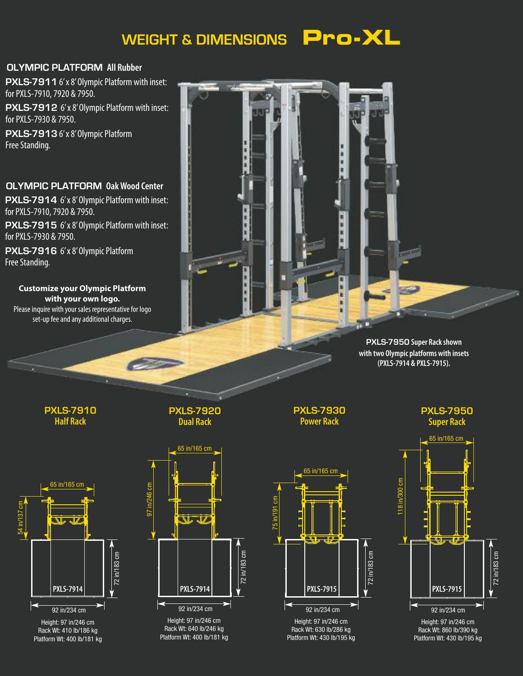## **WEIGHT & DIMENSIONS Pro-XL**

#### **OLYMPIC PLATFORM All Rubber**

PXLS-79116'x8'Olympic Platform with inset: forPXLS-7910,7920 & 7950.

PXLS-7912 6'x 8' Olympic Platform with inset: forPXLS-7930 & 7950.

PXLS-79136'x8'0lympic Platform Free Standing.

#### **OLYMPIC PLATFORM OakWood Center**

PXLS-7914 6'x 8' Olympic Platform with inset: forPXLS-7910,7920 & 7950.

PXLS-7915 6'x 8' Olympic Platform with inset: forPXLS-7930 & 7950.

PXLS-7916 6'x8' Olympic Platform Free Standing.

#### **Customize your Olympic Platform with your own logo.**

Please inquire with your sales representative for logo set-up fee and any additional charges.



**PXLS-7950 Super Rackshown with two Olympic platforms with insets (PXLS-7914 & PXLS-7915).**

**PXLS-7910 Half Rack**





**PXLS-7950 Super Rack**





Rack Wt: 640 lb/246 kg Platform Wt: 400 lb/181 kg



Rack Wt: 630 lb/286 kg Platform Wt: 430 lb/195 kg



Height: 97 in/246 cm Rack Wt: 860 lb/390 kg Platform Wt: 430 lb/195 kg